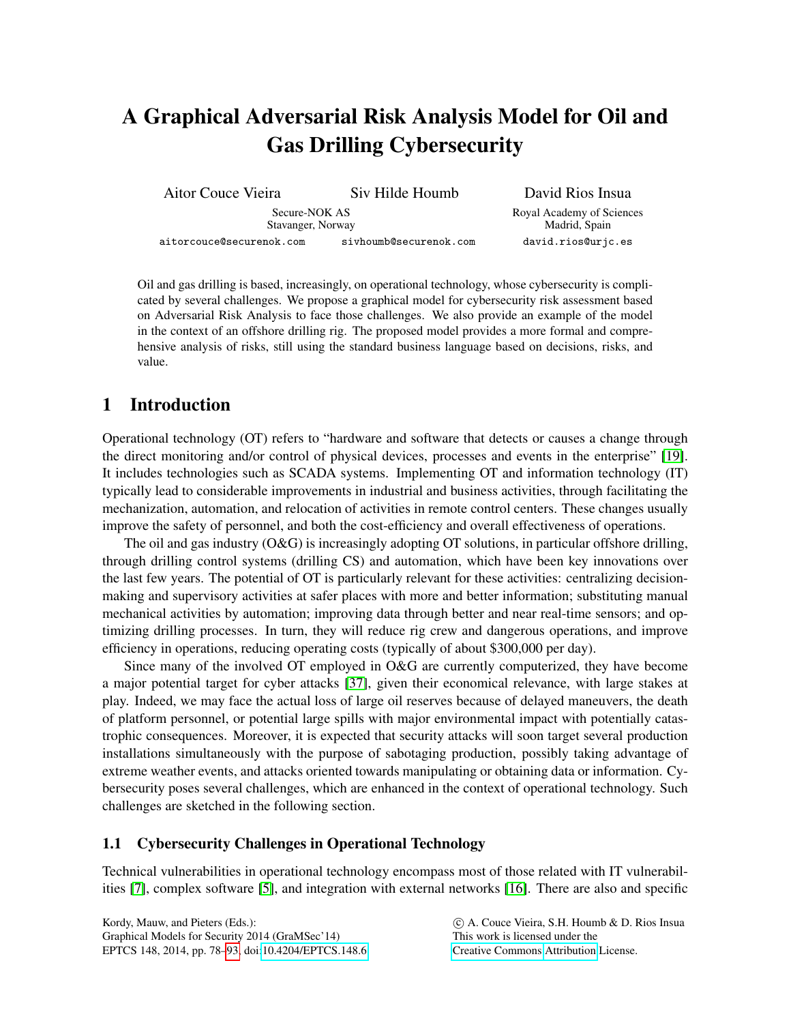# A Graphical Adversarial Risk Analysis Model for Oil and Gas Drilling Cybersecurity

Aitor Couce Vieira Siv Hilde Houmb Secure-NOK AS Stavanger, Norway aitorcouce@securenok.com sivhoumb@securenok.com David Rios Insua

Royal Academy of Sciences Madrid, Spain david.rios@urjc.es

Oil and gas drilling is based, increasingly, on operational technology, whose cybersecurity is complicated by several challenges. We propose a graphical model for cybersecurity risk assessment based on Adversarial Risk Analysis to face those challenges. We also provide an example of the model in the context of an offshore drilling rig. The proposed model provides a more formal and comprehensive analysis of risks, still using the standard business language based on decisions, risks, and value.

# 1 Introduction

Operational technology (OT) refers to "hardware and software that detects or causes a change through the direct monitoring and/or control of physical devices, processes and events in the enterprise" [\[19\]](#page-12-0). It includes technologies such as SCADA systems. Implementing OT and information technology (IT) typically lead to considerable improvements in industrial and business activities, through facilitating the mechanization, automation, and relocation of activities in remote control centers. These changes usually improve the safety of personnel, and both the cost-efficiency and overall effectiveness of operations.

The oil and gas industry  $(O\&G)$  is increasingly adopting OT solutions, in particular offshore drilling, through drilling control systems (drilling CS) and automation, which have been key innovations over the last few years. The potential of OT is particularly relevant for these activities: centralizing decisionmaking and supervisory activities at safer places with more and better information; substituting manual mechanical activities by automation; improving data through better and near real-time sensors; and optimizing drilling processes. In turn, they will reduce rig crew and dangerous operations, and improve efficiency in operations, reducing operating costs (typically of about \$300,000 per day).

Since many of the involved OT employed in O&G are currently computerized, they have become a major potential target for cyber attacks [\[37\]](#page-13-0), given their economical relevance, with large stakes at play. Indeed, we may face the actual loss of large oil reserves because of delayed maneuvers, the death of platform personnel, or potential large spills with major environmental impact with potentially catastrophic consequences. Moreover, it is expected that security attacks will soon target several production installations simultaneously with the purpose of sabotaging production, possibly taking advantage of extreme weather events, and attacks oriented towards manipulating or obtaining data or information. Cybersecurity poses several challenges, which are enhanced in the context of operational technology. Such challenges are sketched in the following section.

### 1.1 Cybersecurity Challenges in Operational Technology

Technical vulnerabilities in operational technology encompass most of those related with IT vulnerabilities [\[7\]](#page-11-0), complex software [\[5\]](#page-11-1), and integration with external networks [\[16\]](#page-11-2). There are also and specific

 c A. Couce Vieira, S.H. Houmb & D. Rios Insua This work is licensed under the [Creative Commons](http://creativecommons.org) [Attribution](http://creativecommons.org/licenses/by/3.0/) License.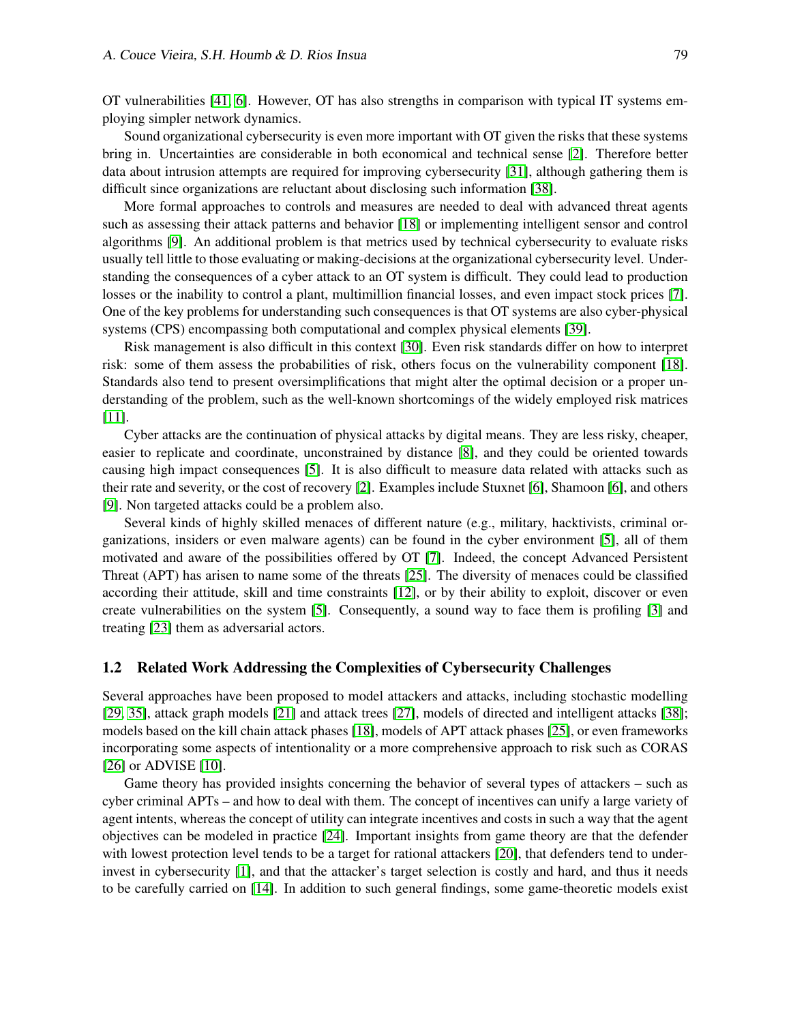OT vulnerabilities [\[41,](#page-13-1) [6\]](#page-11-3). However, OT has also strengths in comparison with typical IT systems employing simpler network dynamics.

Sound organizational cybersecurity is even more important with OT given the risks that these systems bring in. Uncertainties are considerable in both economical and technical sense [\[2\]](#page-11-4). Therefore better data about intrusion attempts are required for improving cybersecurity [\[31\]](#page-12-1), although gathering them is difficult since organizations are reluctant about disclosing such information [\[38\]](#page-13-2).

More formal approaches to controls and measures are needed to deal with advanced threat agents such as assessing their attack patterns and behavior [\[18\]](#page-12-2) or implementing intelligent sensor and control algorithms [\[9\]](#page-11-5). An additional problem is that metrics used by technical cybersecurity to evaluate risks usually tell little to those evaluating or making-decisions at the organizational cybersecurity level. Understanding the consequences of a cyber attack to an OT system is difficult. They could lead to production losses or the inability to control a plant, multimillion financial losses, and even impact stock prices [\[7\]](#page-11-0). One of the key problems for understanding such consequences is that OT systems are also cyber-physical systems (CPS) encompassing both computational and complex physical elements [\[39\]](#page-13-3).

Risk management is also difficult in this context [\[30\]](#page-12-3). Even risk standards differ on how to interpret risk: some of them assess the probabilities of risk, others focus on the vulnerability component [\[18\]](#page-12-2). Standards also tend to present oversimplifications that might alter the optimal decision or a proper understanding of the problem, such as the well-known shortcomings of the widely employed risk matrices [\[11\]](#page-11-6).

Cyber attacks are the continuation of physical attacks by digital means. They are less risky, cheaper, easier to replicate and coordinate, unconstrained by distance [\[8\]](#page-11-7), and they could be oriented towards causing high impact consequences [\[5\]](#page-11-1). It is also difficult to measure data related with attacks such as their rate and severity, or the cost of recovery [\[2\]](#page-11-4). Examples include Stuxnet [\[6\]](#page-11-3), Shamoon [\[6\]](#page-11-3), and others [\[9\]](#page-11-5). Non targeted attacks could be a problem also.

Several kinds of highly skilled menaces of different nature (e.g., military, hacktivists, criminal organizations, insiders or even malware agents) can be found in the cyber environment [\[5\]](#page-11-1), all of them motivated and aware of the possibilities offered by OT [\[7\]](#page-11-0). Indeed, the concept Advanced Persistent Threat (APT) has arisen to name some of the threats [\[25\]](#page-12-4). The diversity of menaces could be classified according their attitude, skill and time constraints [\[12\]](#page-11-8), or by their ability to exploit, discover or even create vulnerabilities on the system [\[5\]](#page-11-1). Consequently, a sound way to face them is profiling [\[3\]](#page-11-9) and treating [\[23\]](#page-12-5) them as adversarial actors.

#### 1.2 Related Work Addressing the Complexities of Cybersecurity Challenges

Several approaches have been proposed to model attackers and attacks, including stochastic modelling [\[29,](#page-12-6) [35\]](#page-12-7), attack graph models [\[21\]](#page-12-8) and attack trees [\[27\]](#page-12-9), models of directed and intelligent attacks [\[38\]](#page-13-2); models based on the kill chain attack phases [\[18\]](#page-12-2), models of APT attack phases [\[25\]](#page-12-4), or even frameworks incorporating some aspects of intentionality or a more comprehensive approach to risk such as CORAS [\[26\]](#page-12-10) or ADVISE [\[10\]](#page-11-10).

Game theory has provided insights concerning the behavior of several types of attackers – such as cyber criminal APTs – and how to deal with them. The concept of incentives can unify a large variety of agent intents, whereas the concept of utility can integrate incentives and costs in such a way that the agent objectives can be modeled in practice [\[24\]](#page-12-11). Important insights from game theory are that the defender with lowest protection level tends to be a target for rational attackers [\[20\]](#page-12-12), that defenders tend to underinvest in cybersecurity [\[1\]](#page-11-11), and that the attacker's target selection is costly and hard, and thus it needs to be carefully carried on [\[14\]](#page-11-12). In addition to such general findings, some game-theoretic models exist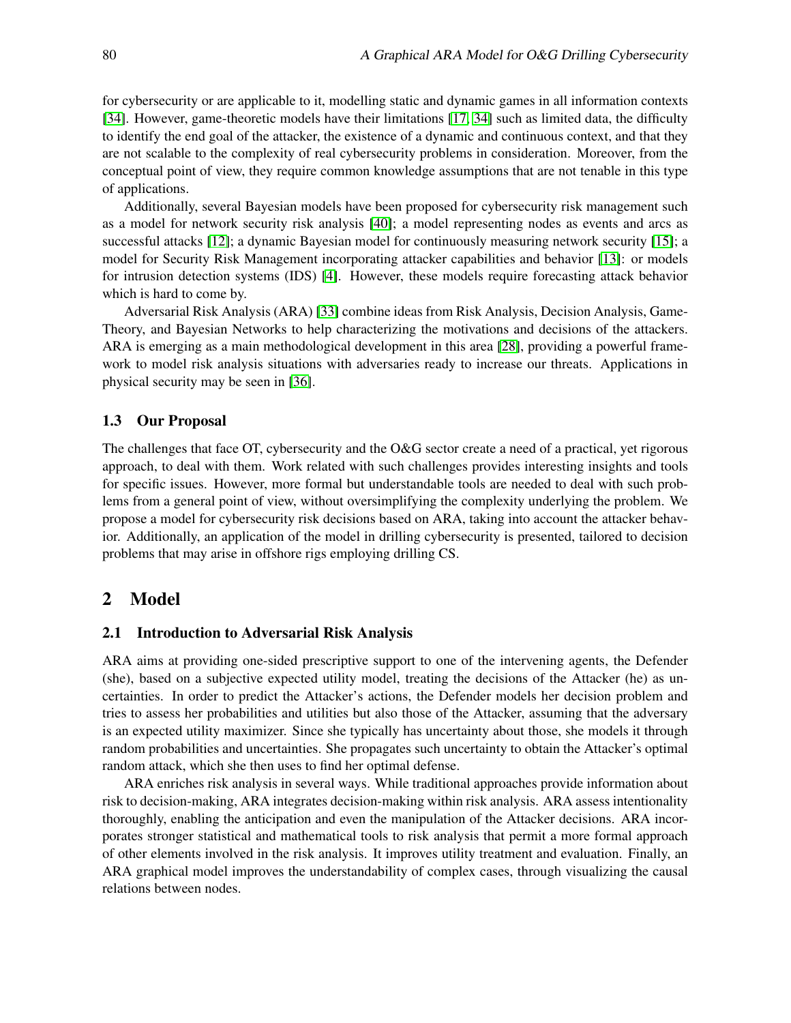for cybersecurity or are applicable to it, modelling static and dynamic games in all information contexts [\[34\]](#page-12-13). However, game-theoretic models have their limitations [\[17,](#page-11-13) [34\]](#page-12-13) such as limited data, the difficulty to identify the end goal of the attacker, the existence of a dynamic and continuous context, and that they are not scalable to the complexity of real cybersecurity problems in consideration. Moreover, from the conceptual point of view, they require common knowledge assumptions that are not tenable in this type of applications.

Additionally, several Bayesian models have been proposed for cybersecurity risk management such as a model for network security risk analysis [\[40\]](#page-13-4); a model representing nodes as events and arcs as successful attacks [\[12\]](#page-11-8); a dynamic Bayesian model for continuously measuring network security [\[15\]](#page-11-14); a model for Security Risk Management incorporating attacker capabilities and behavior [\[13\]](#page-11-15): or models for intrusion detection systems (IDS) [\[4\]](#page-11-16). However, these models require forecasting attack behavior which is hard to come by.

Adversarial Risk Analysis (ARA) [\[33\]](#page-12-14) combine ideas from Risk Analysis, Decision Analysis, Game-Theory, and Bayesian Networks to help characterizing the motivations and decisions of the attackers. ARA is emerging as a main methodological development in this area [\[28\]](#page-12-15), providing a powerful framework to model risk analysis situations with adversaries ready to increase our threats. Applications in physical security may be seen in [\[36\]](#page-12-16).

#### 1.3 Our Proposal

The challenges that face OT, cybersecurity and the O&G sector create a need of a practical, yet rigorous approach, to deal with them. Work related with such challenges provides interesting insights and tools for specific issues. However, more formal but understandable tools are needed to deal with such problems from a general point of view, without oversimplifying the complexity underlying the problem. We propose a model for cybersecurity risk decisions based on ARA, taking into account the attacker behavior. Additionally, an application of the model in drilling cybersecurity is presented, tailored to decision problems that may arise in offshore rigs employing drilling CS.

# 2 Model

#### 2.1 Introduction to Adversarial Risk Analysis

ARA aims at providing one-sided prescriptive support to one of the intervening agents, the Defender (she), based on a subjective expected utility model, treating the decisions of the Attacker (he) as uncertainties. In order to predict the Attacker's actions, the Defender models her decision problem and tries to assess her probabilities and utilities but also those of the Attacker, assuming that the adversary is an expected utility maximizer. Since she typically has uncertainty about those, she models it through random probabilities and uncertainties. She propagates such uncertainty to obtain the Attacker's optimal random attack, which she then uses to find her optimal defense.

ARA enriches risk analysis in several ways. While traditional approaches provide information about risk to decision-making, ARA integrates decision-making within risk analysis. ARA assess intentionality thoroughly, enabling the anticipation and even the manipulation of the Attacker decisions. ARA incorporates stronger statistical and mathematical tools to risk analysis that permit a more formal approach of other elements involved in the risk analysis. It improves utility treatment and evaluation. Finally, an ARA graphical model improves the understandability of complex cases, through visualizing the causal relations between nodes.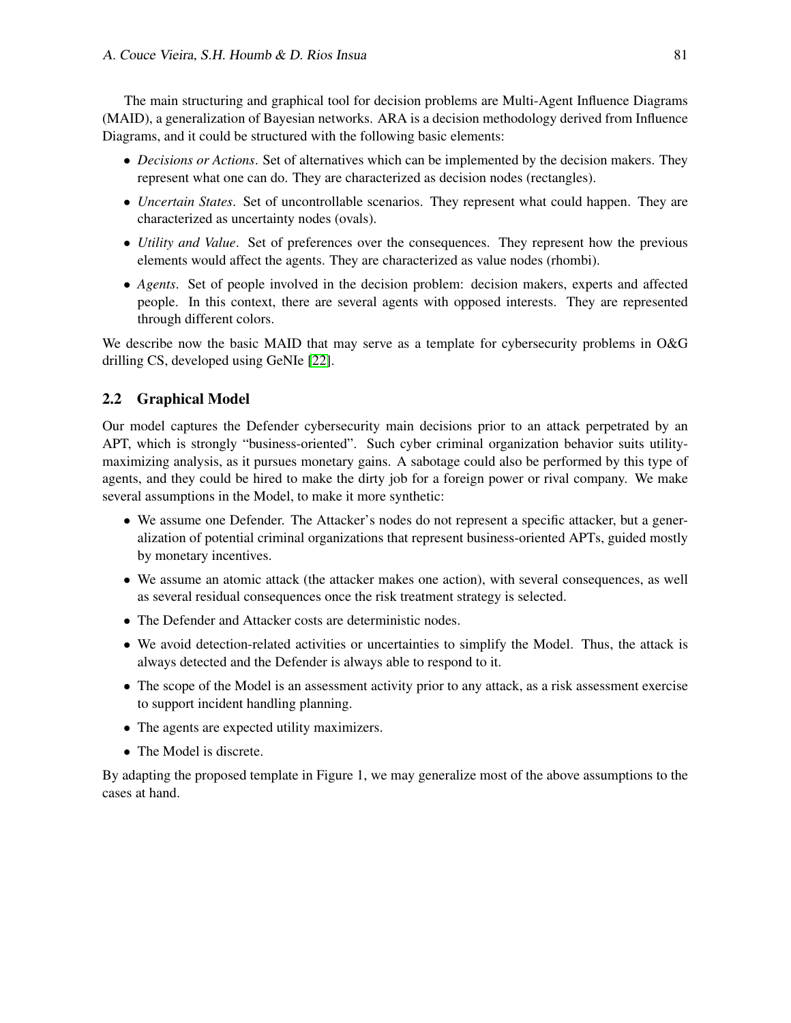The main structuring and graphical tool for decision problems are Multi-Agent Influence Diagrams (MAID), a generalization of Bayesian networks. ARA is a decision methodology derived from Influence Diagrams, and it could be structured with the following basic elements:

- *Decisions or Actions*. Set of alternatives which can be implemented by the decision makers. They represent what one can do. They are characterized as decision nodes (rectangles).
- *Uncertain States*. Set of uncontrollable scenarios. They represent what could happen. They are characterized as uncertainty nodes (ovals).
- *Utility and Value*. Set of preferences over the consequences. They represent how the previous elements would affect the agents. They are characterized as value nodes (rhombi).
- *Agents*. Set of people involved in the decision problem: decision makers, experts and affected people. In this context, there are several agents with opposed interests. They are represented through different colors.

We describe now the basic MAID that may serve as a template for cybersecurity problems in O&G drilling CS, developed using GeNIe [\[22\]](#page-12-17).

#### 2.2 Graphical Model

Our model captures the Defender cybersecurity main decisions prior to an attack perpetrated by an APT, which is strongly "business-oriented". Such cyber criminal organization behavior suits utilitymaximizing analysis, as it pursues monetary gains. A sabotage could also be performed by this type of agents, and they could be hired to make the dirty job for a foreign power or rival company. We make several assumptions in the Model, to make it more synthetic:

- We assume one Defender. The Attacker's nodes do not represent a specific attacker, but a generalization of potential criminal organizations that represent business-oriented APTs, guided mostly by monetary incentives.
- We assume an atomic attack (the attacker makes one action), with several consequences, as well as several residual consequences once the risk treatment strategy is selected.
- The Defender and Attacker costs are deterministic nodes.
- We avoid detection-related activities or uncertainties to simplify the Model. Thus, the attack is always detected and the Defender is always able to respond to it.
- The scope of the Model is an assessment activity prior to any attack, as a risk assessment exercise to support incident handling planning.
- The agents are expected utility maximizers.
- The Model is discrete.

By adapting the proposed template in Figure 1, we may generalize most of the above assumptions to the cases at hand.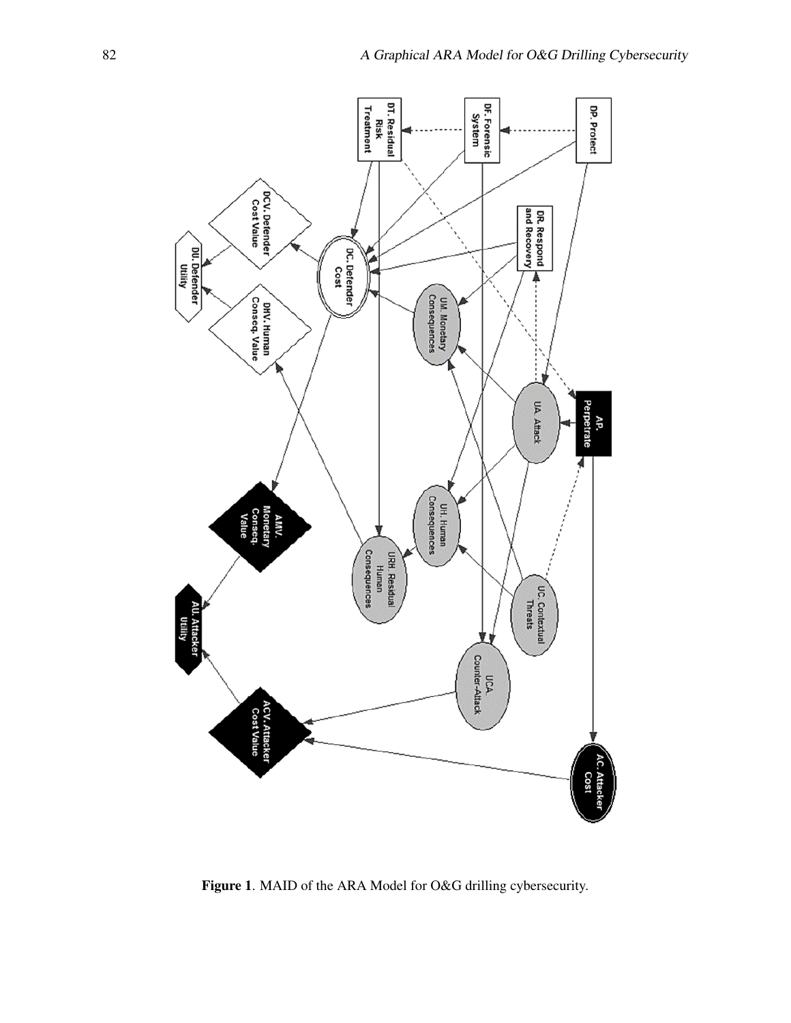

Figure 1. MAID of the ARA Model for O&G drilling cybersecurity.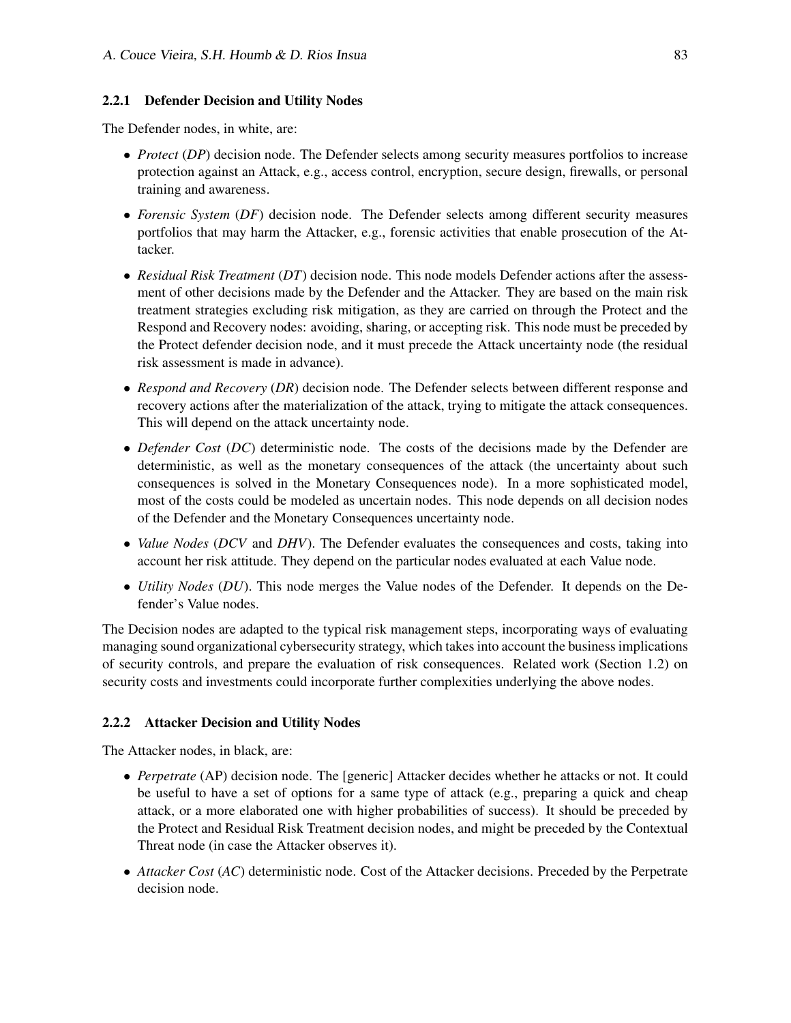#### 2.2.1 Defender Decision and Utility Nodes

The Defender nodes, in white, are:

- *Protect* (*DP*) decision node. The Defender selects among security measures portfolios to increase protection against an Attack, e.g., access control, encryption, secure design, firewalls, or personal training and awareness.
- *Forensic System* (*DF*) decision node. The Defender selects among different security measures portfolios that may harm the Attacker, e.g., forensic activities that enable prosecution of the Attacker.
- *Residual Risk Treatment* (*DT*) decision node. This node models Defender actions after the assessment of other decisions made by the Defender and the Attacker. They are based on the main risk treatment strategies excluding risk mitigation, as they are carried on through the Protect and the Respond and Recovery nodes: avoiding, sharing, or accepting risk. This node must be preceded by the Protect defender decision node, and it must precede the Attack uncertainty node (the residual risk assessment is made in advance).
- *Respond and Recovery* (*DR*) decision node. The Defender selects between different response and recovery actions after the materialization of the attack, trying to mitigate the attack consequences. This will depend on the attack uncertainty node.
- *Defender Cost* (*DC*) deterministic node. The costs of the decisions made by the Defender are deterministic, as well as the monetary consequences of the attack (the uncertainty about such consequences is solved in the Monetary Consequences node). In a more sophisticated model, most of the costs could be modeled as uncertain nodes. This node depends on all decision nodes of the Defender and the Monetary Consequences uncertainty node.
- *Value Nodes* (*DCV* and *DHV*). The Defender evaluates the consequences and costs, taking into account her risk attitude. They depend on the particular nodes evaluated at each Value node.
- *Utility Nodes* (*DU*). This node merges the Value nodes of the Defender. It depends on the Defender's Value nodes.

The Decision nodes are adapted to the typical risk management steps, incorporating ways of evaluating managing sound organizational cybersecurity strategy, which takes into account the business implications of security controls, and prepare the evaluation of risk consequences. Related work (Section 1.2) on security costs and investments could incorporate further complexities underlying the above nodes.

#### 2.2.2 Attacker Decision and Utility Nodes

The Attacker nodes, in black, are:

- *Perpetrate* (AP) decision node. The [generic] Attacker decides whether he attacks or not. It could be useful to have a set of options for a same type of attack (e.g., preparing a quick and cheap attack, or a more elaborated one with higher probabilities of success). It should be preceded by the Protect and Residual Risk Treatment decision nodes, and might be preceded by the Contextual Threat node (in case the Attacker observes it).
- *Attacker Cost* (*AC*) deterministic node. Cost of the Attacker decisions. Preceded by the Perpetrate decision node.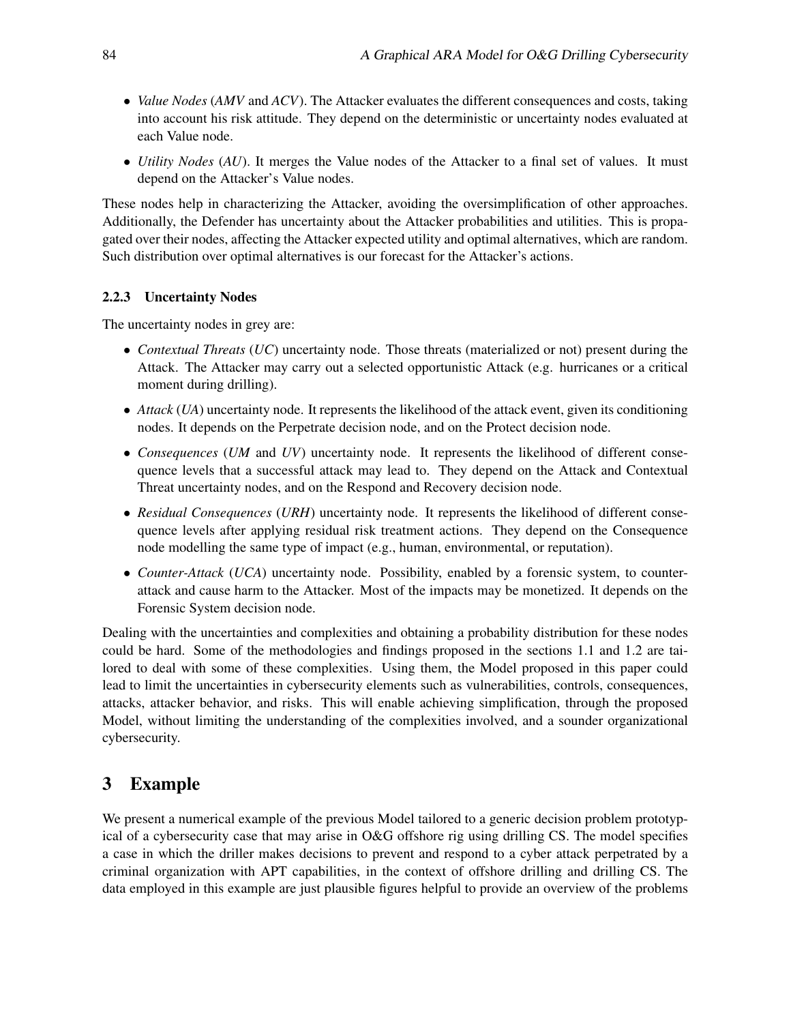- *Value Nodes* (*AMV* and *ACV*). The Attacker evaluates the different consequences and costs, taking into account his risk attitude. They depend on the deterministic or uncertainty nodes evaluated at each Value node.
- *Utility Nodes* (*AU*). It merges the Value nodes of the Attacker to a final set of values. It must depend on the Attacker's Value nodes.

These nodes help in characterizing the Attacker, avoiding the oversimplification of other approaches. Additionally, the Defender has uncertainty about the Attacker probabilities and utilities. This is propagated over their nodes, affecting the Attacker expected utility and optimal alternatives, which are random. Such distribution over optimal alternatives is our forecast for the Attacker's actions.

### 2.2.3 Uncertainty Nodes

The uncertainty nodes in grey are:

- *Contextual Threats* (*UC*) uncertainty node. Those threats (materialized or not) present during the Attack. The Attacker may carry out a selected opportunistic Attack (e.g. hurricanes or a critical moment during drilling).
- *Attack* (*UA*) uncertainty node. It represents the likelihood of the attack event, given its conditioning nodes. It depends on the Perpetrate decision node, and on the Protect decision node.
- *Consequences* (*UM* and *UV*) uncertainty node. It represents the likelihood of different consequence levels that a successful attack may lead to. They depend on the Attack and Contextual Threat uncertainty nodes, and on the Respond and Recovery decision node.
- *Residual Consequences* (*URH*) uncertainty node. It represents the likelihood of different consequence levels after applying residual risk treatment actions. They depend on the Consequence node modelling the same type of impact (e.g., human, environmental, or reputation).
- *Counter-Attack* (*UCA*) uncertainty node. Possibility, enabled by a forensic system, to counterattack and cause harm to the Attacker. Most of the impacts may be monetized. It depends on the Forensic System decision node.

Dealing with the uncertainties and complexities and obtaining a probability distribution for these nodes could be hard. Some of the methodologies and findings proposed in the sections 1.1 and 1.2 are tailored to deal with some of these complexities. Using them, the Model proposed in this paper could lead to limit the uncertainties in cybersecurity elements such as vulnerabilities, controls, consequences, attacks, attacker behavior, and risks. This will enable achieving simplification, through the proposed Model, without limiting the understanding of the complexities involved, and a sounder organizational cybersecurity.

# 3 Example

We present a numerical example of the previous Model tailored to a generic decision problem prototypical of a cybersecurity case that may arise in O&G offshore rig using drilling CS. The model specifies a case in which the driller makes decisions to prevent and respond to a cyber attack perpetrated by a criminal organization with APT capabilities, in the context of offshore drilling and drilling CS. The data employed in this example are just plausible figures helpful to provide an overview of the problems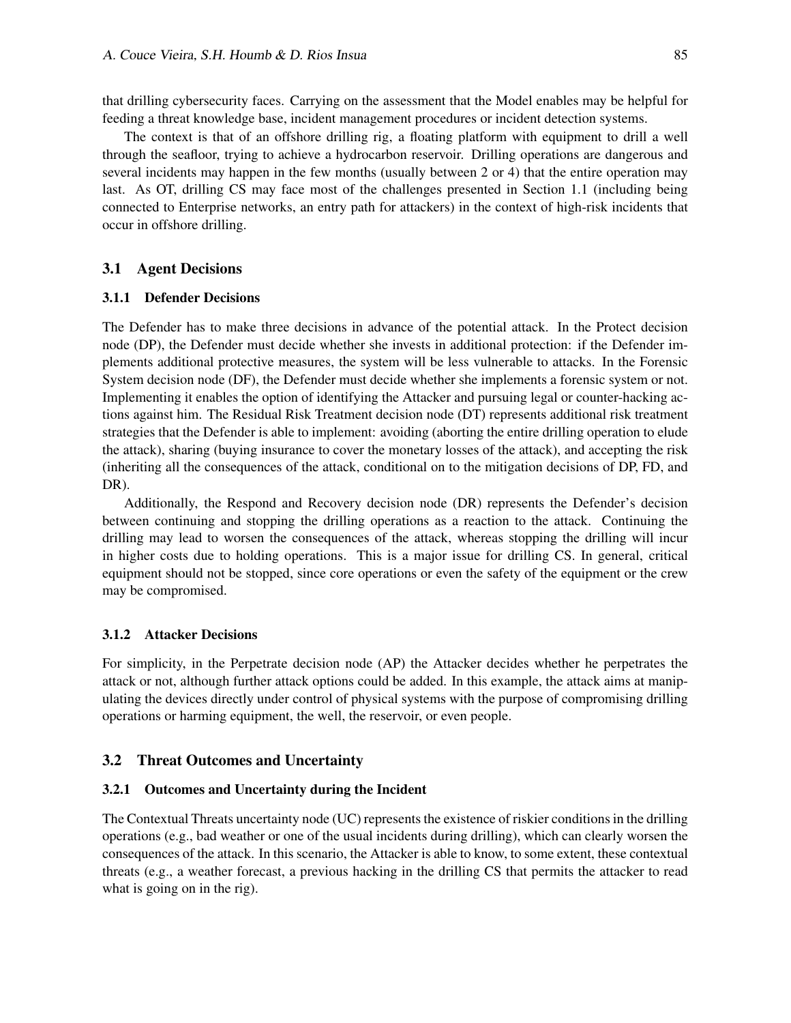that drilling cybersecurity faces. Carrying on the assessment that the Model enables may be helpful for feeding a threat knowledge base, incident management procedures or incident detection systems.

The context is that of an offshore drilling rig, a floating platform with equipment to drill a well through the seafloor, trying to achieve a hydrocarbon reservoir. Drilling operations are dangerous and several incidents may happen in the few months (usually between 2 or 4) that the entire operation may last. As OT, drilling CS may face most of the challenges presented in Section 1.1 (including being connected to Enterprise networks, an entry path for attackers) in the context of high-risk incidents that occur in offshore drilling.

#### 3.1 Agent Decisions

#### 3.1.1 Defender Decisions

The Defender has to make three decisions in advance of the potential attack. In the Protect decision node (DP), the Defender must decide whether she invests in additional protection: if the Defender implements additional protective measures, the system will be less vulnerable to attacks. In the Forensic System decision node (DF), the Defender must decide whether she implements a forensic system or not. Implementing it enables the option of identifying the Attacker and pursuing legal or counter-hacking actions against him. The Residual Risk Treatment decision node (DT) represents additional risk treatment strategies that the Defender is able to implement: avoiding (aborting the entire drilling operation to elude the attack), sharing (buying insurance to cover the monetary losses of the attack), and accepting the risk (inheriting all the consequences of the attack, conditional on to the mitigation decisions of DP, FD, and DR).

Additionally, the Respond and Recovery decision node (DR) represents the Defender's decision between continuing and stopping the drilling operations as a reaction to the attack. Continuing the drilling may lead to worsen the consequences of the attack, whereas stopping the drilling will incur in higher costs due to holding operations. This is a major issue for drilling CS. In general, critical equipment should not be stopped, since core operations or even the safety of the equipment or the crew may be compromised.

#### 3.1.2 Attacker Decisions

For simplicity, in the Perpetrate decision node (AP) the Attacker decides whether he perpetrates the attack or not, although further attack options could be added. In this example, the attack aims at manipulating the devices directly under control of physical systems with the purpose of compromising drilling operations or harming equipment, the well, the reservoir, or even people.

#### 3.2 Threat Outcomes and Uncertainty

#### 3.2.1 Outcomes and Uncertainty during the Incident

The Contextual Threats uncertainty node (UC) represents the existence of riskier conditions in the drilling operations (e.g., bad weather or one of the usual incidents during drilling), which can clearly worsen the consequences of the attack. In this scenario, the Attacker is able to know, to some extent, these contextual threats (e.g., a weather forecast, a previous hacking in the drilling CS that permits the attacker to read what is going on in the rig.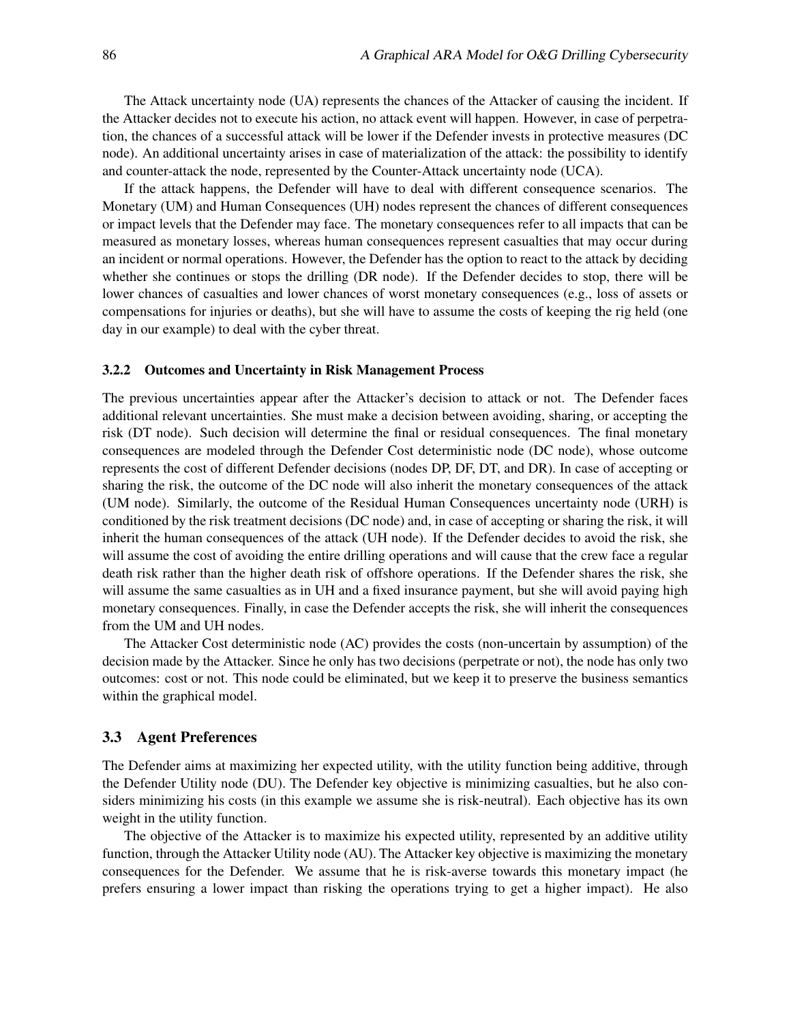The Attack uncertainty node (UA) represents the chances of the Attacker of causing the incident. If the Attacker decides not to execute his action, no attack event will happen. However, in case of perpetration, the chances of a successful attack will be lower if the Defender invests in protective measures (DC node). An additional uncertainty arises in case of materialization of the attack: the possibility to identify and counter-attack the node, represented by the Counter-Attack uncertainty node (UCA).

If the attack happens, the Defender will have to deal with different consequence scenarios. The Monetary (UM) and Human Consequences (UH) nodes represent the chances of different consequences or impact levels that the Defender may face. The monetary consequences refer to all impacts that can be measured as monetary losses, whereas human consequences represent casualties that may occur during an incident or normal operations. However, the Defender has the option to react to the attack by deciding whether she continues or stops the drilling (DR node). If the Defender decides to stop, there will be lower chances of casualties and lower chances of worst monetary consequences (e.g., loss of assets or compensations for injuries or deaths), but she will have to assume the costs of keeping the rig held (one day in our example) to deal with the cyber threat.

#### 3.2.2 Outcomes and Uncertainty in Risk Management Process

The previous uncertainties appear after the Attacker's decision to attack or not. The Defender faces additional relevant uncertainties. She must make a decision between avoiding, sharing, or accepting the risk (DT node). Such decision will determine the final or residual consequences. The final monetary consequences are modeled through the Defender Cost deterministic node (DC node), whose outcome represents the cost of different Defender decisions (nodes DP, DF, DT, and DR). In case of accepting or sharing the risk, the outcome of the DC node will also inherit the monetary consequences of the attack (UM node). Similarly, the outcome of the Residual Human Consequences uncertainty node (URH) is conditioned by the risk treatment decisions (DC node) and, in case of accepting or sharing the risk, it will inherit the human consequences of the attack (UH node). If the Defender decides to avoid the risk, she will assume the cost of avoiding the entire drilling operations and will cause that the crew face a regular death risk rather than the higher death risk of offshore operations. If the Defender shares the risk, she will assume the same casualties as in UH and a fixed insurance payment, but she will avoid paying high monetary consequences. Finally, in case the Defender accepts the risk, she will inherit the consequences from the UM and UH nodes.

The Attacker Cost deterministic node (AC) provides the costs (non-uncertain by assumption) of the decision made by the Attacker. Since he only has two decisions (perpetrate or not), the node has only two outcomes: cost or not. This node could be eliminated, but we keep it to preserve the business semantics within the graphical model.

#### 3.3 Agent Preferences

The Defender aims at maximizing her expected utility, with the utility function being additive, through the Defender Utility node (DU). The Defender key objective is minimizing casualties, but he also considers minimizing his costs (in this example we assume she is risk-neutral). Each objective has its own weight in the utility function.

The objective of the Attacker is to maximize his expected utility, represented by an additive utility function, through the Attacker Utility node (AU). The Attacker key objective is maximizing the monetary consequences for the Defender. We assume that he is risk-averse towards this monetary impact (he prefers ensuring a lower impact than risking the operations trying to get a higher impact). He also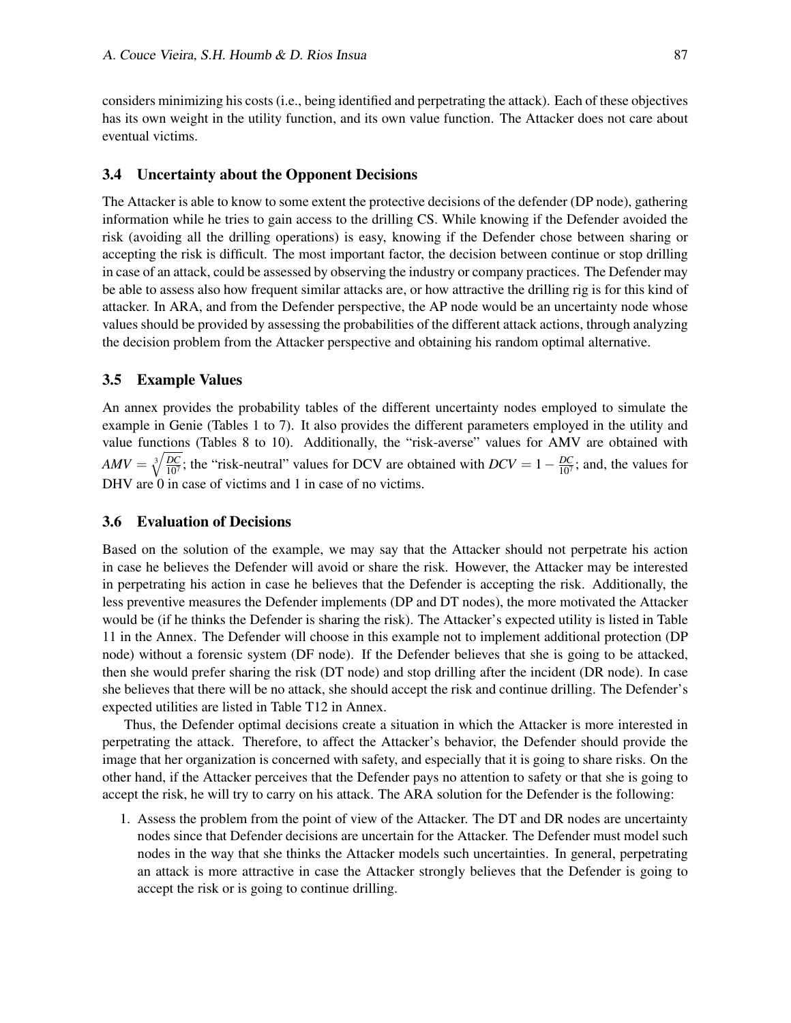considers minimizing his costs (i.e., being identified and perpetrating the attack). Each of these objectives has its own weight in the utility function, and its own value function. The Attacker does not care about eventual victims.

#### 3.4 Uncertainty about the Opponent Decisions

The Attacker is able to know to some extent the protective decisions of the defender (DP node), gathering information while he tries to gain access to the drilling CS. While knowing if the Defender avoided the risk (avoiding all the drilling operations) is easy, knowing if the Defender chose between sharing or accepting the risk is difficult. The most important factor, the decision between continue or stop drilling in case of an attack, could be assessed by observing the industry or company practices. The Defender may be able to assess also how frequent similar attacks are, or how attractive the drilling rig is for this kind of attacker. In ARA, and from the Defender perspective, the AP node would be an uncertainty node whose values should be provided by assessing the probabilities of the different attack actions, through analyzing the decision problem from the Attacker perspective and obtaining his random optimal alternative.

#### 3.5 Example Values

An annex provides the probability tables of the different uncertainty nodes employed to simulate the example in Genie (Tables 1 to 7). It also provides the different parameters employed in the utility and value functions (Tables 8 to 10). Additionally, the "risk-averse" values for AMV are obtained with  $AMV = \sqrt[3]{\frac{DC}{10^7}}$ ; the "risk-neutral" values for DCV are obtained with  $DCV = 1 - \frac{DC}{10^7}$ ; and, the values for DHV are 0 in case of victims and 1 in case of no victims.

#### 3.6 Evaluation of Decisions

Based on the solution of the example, we may say that the Attacker should not perpetrate his action in case he believes the Defender will avoid or share the risk. However, the Attacker may be interested in perpetrating his action in case he believes that the Defender is accepting the risk. Additionally, the less preventive measures the Defender implements (DP and DT nodes), the more motivated the Attacker would be (if he thinks the Defender is sharing the risk). The Attacker's expected utility is listed in Table 11 in the Annex. The Defender will choose in this example not to implement additional protection (DP node) without a forensic system (DF node). If the Defender believes that she is going to be attacked, then she would prefer sharing the risk (DT node) and stop drilling after the incident (DR node). In case she believes that there will be no attack, she should accept the risk and continue drilling. The Defender's expected utilities are listed in Table T12 in Annex.

Thus, the Defender optimal decisions create a situation in which the Attacker is more interested in perpetrating the attack. Therefore, to affect the Attacker's behavior, the Defender should provide the image that her organization is concerned with safety, and especially that it is going to share risks. On the other hand, if the Attacker perceives that the Defender pays no attention to safety or that she is going to accept the risk, he will try to carry on his attack. The ARA solution for the Defender is the following:

1. Assess the problem from the point of view of the Attacker. The DT and DR nodes are uncertainty nodes since that Defender decisions are uncertain for the Attacker. The Defender must model such nodes in the way that she thinks the Attacker models such uncertainties. In general, perpetrating an attack is more attractive in case the Attacker strongly believes that the Defender is going to accept the risk or is going to continue drilling.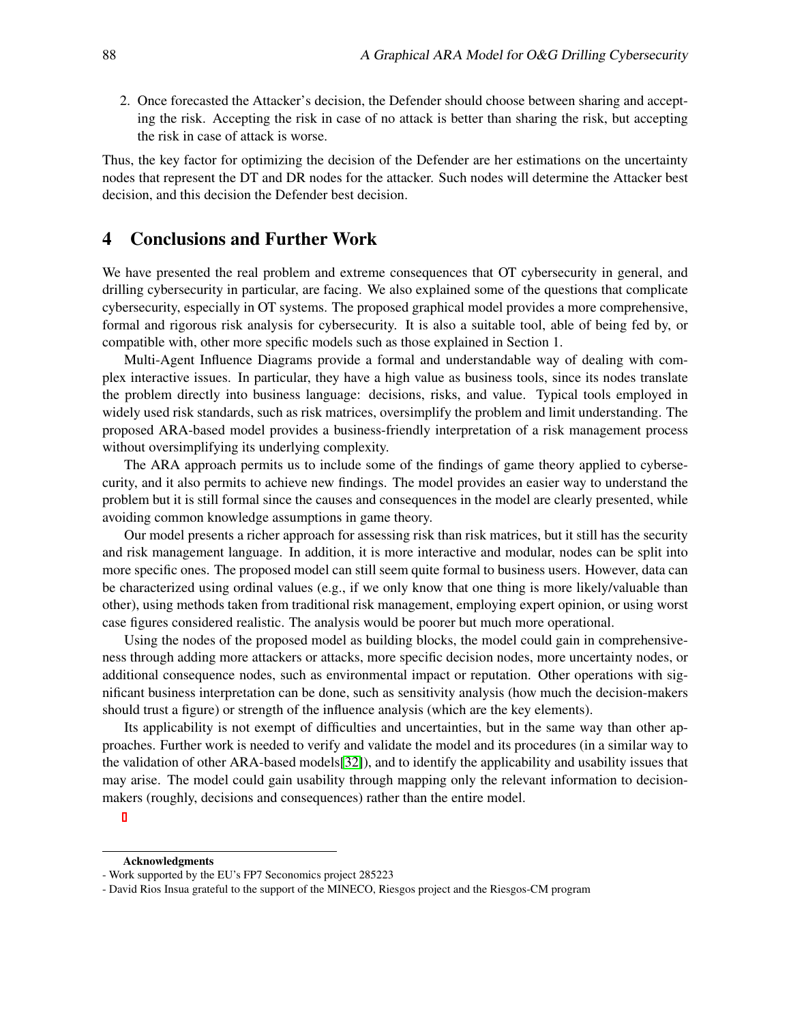2. Once forecasted the Attacker's decision, the Defender should choose between sharing and accepting the risk. Accepting the risk in case of no attack is better than sharing the risk, but accepting the risk in case of attack is worse.

Thus, the key factor for optimizing the decision of the Defender are her estimations on the uncertainty nodes that represent the DT and DR nodes for the attacker. Such nodes will determine the Attacker best decision, and this decision the Defender best decision.

# 4 Conclusions and Further Work

We have presented the real problem and extreme consequences that OT cybersecurity in general, and drilling cybersecurity in particular, are facing. We also explained some of the questions that complicate cybersecurity, especially in OT systems. The proposed graphical model provides a more comprehensive, formal and rigorous risk analysis for cybersecurity. It is also a suitable tool, able of being fed by, or compatible with, other more specific models such as those explained in Section 1.

Multi-Agent Influence Diagrams provide a formal and understandable way of dealing with complex interactive issues. In particular, they have a high value as business tools, since its nodes translate the problem directly into business language: decisions, risks, and value. Typical tools employed in widely used risk standards, such as risk matrices, oversimplify the problem and limit understanding. The proposed ARA-based model provides a business-friendly interpretation of a risk management process without oversimplifying its underlying complexity.

The ARA approach permits us to include some of the findings of game theory applied to cybersecurity, and it also permits to achieve new findings. The model provides an easier way to understand the problem but it is still formal since the causes and consequences in the model are clearly presented, while avoiding common knowledge assumptions in game theory.

Our model presents a richer approach for assessing risk than risk matrices, but it still has the security and risk management language. In addition, it is more interactive and modular, nodes can be split into more specific ones. The proposed model can still seem quite formal to business users. However, data can be characterized using ordinal values (e.g., if we only know that one thing is more likely/valuable than other), using methods taken from traditional risk management, employing expert opinion, or using worst case figures considered realistic. The analysis would be poorer but much more operational.

Using the nodes of the proposed model as building blocks, the model could gain in comprehensiveness through adding more attackers or attacks, more specific decision nodes, more uncertainty nodes, or additional consequence nodes, such as environmental impact or reputation. Other operations with significant business interpretation can be done, such as sensitivity analysis (how much the decision-makers should trust a figure) or strength of the influence analysis (which are the key elements).

Its applicability is not exempt of difficulties and uncertainties, but in the same way than other approaches. Further work is needed to verify and validate the model and its procedures (in a similar way to the validation of other ARA-based models[\[32\]](#page-12-18)), and to identify the applicability and usability issues that may arise. The model could gain usability through mapping only the relevant information to decisionmakers (roughly, decisions and consequences) rather than the entire model.

Acknowledgments

<sup>-</sup> Work supported by the EU's FP7 Seconomics project 285223

<sup>-</sup> David Rios Insua grateful to the support of the MINECO, Riesgos project and the Riesgos-CM program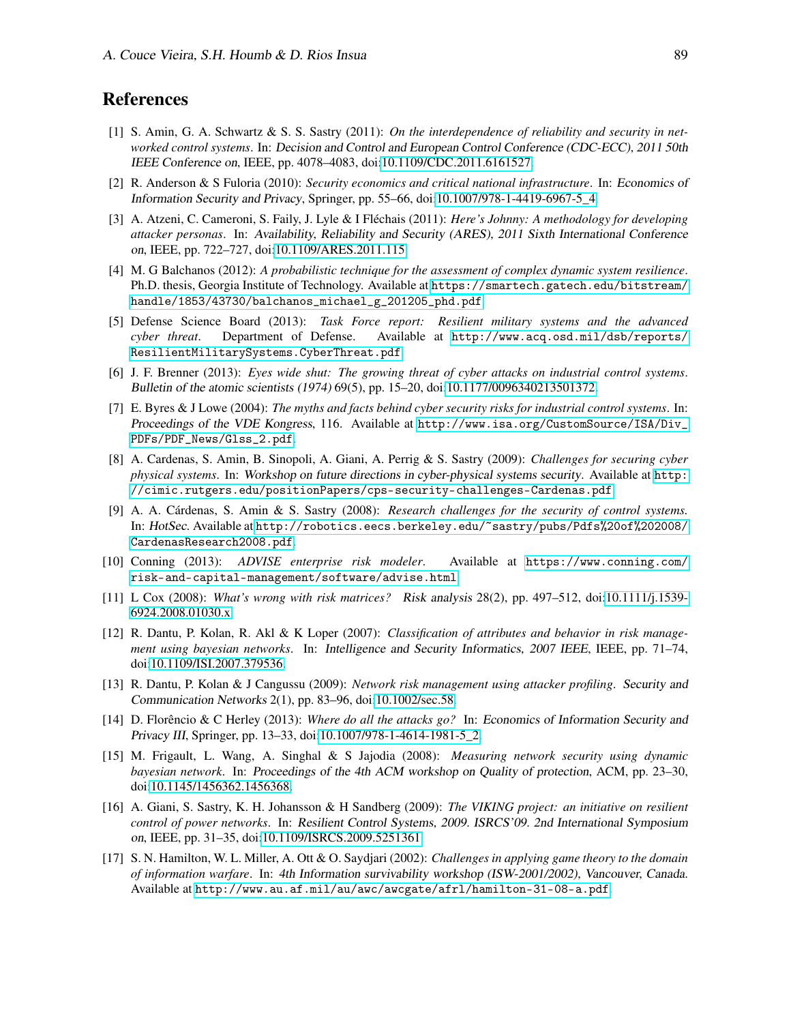# References

- <span id="page-11-11"></span>[1] S. Amin, G. A. Schwartz & S. S. Sastry (2011): *On the interdependence of reliability and security in networked control systems*. In: Decision and Control and European Control Conference (CDC-ECC), 2011 50th IEEE Conference on, IEEE, pp. 4078–4083, doi[:10.1109/CDC.2011.6161527.](http://dx.doi.org/10.1109/CDC.2011.6161527)
- <span id="page-11-4"></span>[2] R. Anderson & S Fuloria (2010): *Security economics and critical national infrastructure*. In: Economics of Information Security and Privacy, Springer, pp. 55–66, doi[:10.1007/978-1-4419-6967-5\\_4.](http://dx.doi.org/10.1007/978-1-4419-6967-5_4)
- <span id="page-11-9"></span>[3] A. Atzeni, C. Cameroni, S. Faily, J. Lyle & I Fléchais (2011): *Here's Johnny: A methodology for developing attacker personas*. In: Availability, Reliability and Security (ARES), 2011 Sixth International Conference on, IEEE, pp. 722–727, doi[:10.1109/ARES.2011.115.](http://dx.doi.org/10.1109/ARES.2011.115)
- <span id="page-11-16"></span>[4] M. G Balchanos (2012): *A probabilistic technique for the assessment of complex dynamic system resilience*. Ph.D. thesis, Georgia Institute of Technology. Available at [https://smartech.gatech.edu/bitstream/](https://smartech.gatech.edu/bitstream/handle/1853/43730/balchanos_michael_g_201205_phd.pdf) [handle/1853/43730/balchanos\\_michael\\_g\\_201205\\_phd.pdf](https://smartech.gatech.edu/bitstream/handle/1853/43730/balchanos_michael_g_201205_phd.pdf).
- <span id="page-11-1"></span>[5] Defense Science Board (2013): *Task Force report: Resilient military systems and the advanced cyber threat*. Department of Defense. Available at [http://www.acq.osd.mil/dsb/reports/](http://www.acq.osd.mil/dsb/reports/ResilientMilitarySystems.CyberThreat.pdf) [ResilientMilitarySystems.CyberThreat.pdf](http://www.acq.osd.mil/dsb/reports/ResilientMilitarySystems.CyberThreat.pdf).
- <span id="page-11-3"></span>[6] J. F. Brenner (2013): *Eyes wide shut: The growing threat of cyber attacks on industrial control systems*. Bulletin of the atomic scientists (1974) 69(5), pp. 15–20, doi[:10.1177/0096340213501372.](http://dx.doi.org/10.1177/0096340213501372)
- <span id="page-11-0"></span>[7] E. Byres & J Lowe (2004): *The myths and facts behind cyber security risks for industrial control systems*. In: Proceedings of the VDE Kongress, 116. Available at [http://www.isa.org/CustomSource/ISA/Div\\_](http://www.isa.org/CustomSource/ISA/Div_PDFs/PDF_News/Glss_2.pdf) [PDFs/PDF\\_News/Glss\\_2.pdf](http://www.isa.org/CustomSource/ISA/Div_PDFs/PDF_News/Glss_2.pdf).
- <span id="page-11-7"></span>[8] A. Cardenas, S. Amin, B. Sinopoli, A. Giani, A. Perrig & S. Sastry (2009): *Challenges for securing cyber physical systems*. In: Workshop on future directions in cyber-physical systems security. Available at [http:](http://cimic.rutgers.edu/positionPapers/cps-security-challenges-Cardenas.pdf) [//cimic.rutgers.edu/positionPapers/cps-security-challenges-Cardenas.pdf](http://cimic.rutgers.edu/positionPapers/cps-security-challenges-Cardenas.pdf).
- <span id="page-11-5"></span>[9] A. A. Cárdenas, S. Amin & S. Sastry (2008): *Research challenges for the security of control systems.* In: HotSec. Available at [http://robotics.eecs.berkeley.edu/~sastry/pubs/Pdfs%20of%202008/](http://robotics.eecs.berkeley.edu/~sastry/pubs/Pdfs%20of%202008/CardenasResearch2008.pdf) [CardenasResearch2008.pdf](http://robotics.eecs.berkeley.edu/~sastry/pubs/Pdfs%20of%202008/CardenasResearch2008.pdf).
- <span id="page-11-10"></span>[10] Conning (2013): *ADVISE enterprise risk modeler*. Available at [https://www.conning.com/](https://www.conning.com/risk-and-capital-management/software/advise.html) [risk-and-capital-management/software/advise.html](https://www.conning.com/risk-and-capital-management/software/advise.html).
- <span id="page-11-6"></span>[11] L Cox (2008): *What's wrong with risk matrices?* Risk analysis 28(2), pp. 497–512, doi[:10.1111/j.1539-](http://dx.doi.org/10.1111/j.1539-6924.2008.01030.x) [6924.2008.01030.x.](http://dx.doi.org/10.1111/j.1539-6924.2008.01030.x)
- <span id="page-11-8"></span>[12] R. Dantu, P. Kolan, R. Akl & K Loper (2007): *Classification of attributes and behavior in risk management using bayesian networks*. In: Intelligence and Security Informatics, 2007 IEEE, IEEE, pp. 71–74, doi[:10.1109/ISI.2007.379536.](http://dx.doi.org/10.1109/ISI.2007.379536)
- <span id="page-11-15"></span>[13] R. Dantu, P. Kolan & J Cangussu (2009): *Network risk management using attacker profiling*. Security and Communication Networks 2(1), pp. 83–96, doi[:10.1002/sec.58.](http://dx.doi.org/10.1002/sec.58)
- <span id="page-11-12"></span>[14] D. Florêncio & C Herley (2013): *Where do all the attacks go?* In: Economics of Information Security and Privacy III, Springer, pp. 13–33, doi[:10.1007/978-1-4614-1981-5\\_2.](http://dx.doi.org/10.1007/978-1-4614-1981-5_2)
- <span id="page-11-14"></span>[15] M. Frigault, L. Wang, A. Singhal & S Jajodia (2008): *Measuring network security using dynamic bayesian network*. In: Proceedings of the 4th ACM workshop on Quality of protection, ACM, pp. 23–30, doi[:10.1145/1456362.1456368.](http://dx.doi.org/10.1145/1456362.1456368)
- <span id="page-11-2"></span>[16] A. Giani, S. Sastry, K. H. Johansson & H Sandberg (2009): *The VIKING project: an initiative on resilient control of power networks*. In: Resilient Control Systems, 2009. ISRCS'09. 2nd International Symposium on, IEEE, pp. 31–35, doi[:10.1109/ISRCS.2009.5251361.](http://dx.doi.org/10.1109/ISRCS.2009.5251361)
- <span id="page-11-13"></span>[17] S. N. Hamilton, W. L. Miller, A. Ott & O. Saydjari (2002): *Challenges in applying game theory to the domain of information warfare*. In: 4th Information survivability workshop (ISW-2001/2002), Vancouver, Canada. Available at <http://www.au.af.mil/au/awc/awcgate/afrl/hamilton-31-08-a.pdf>.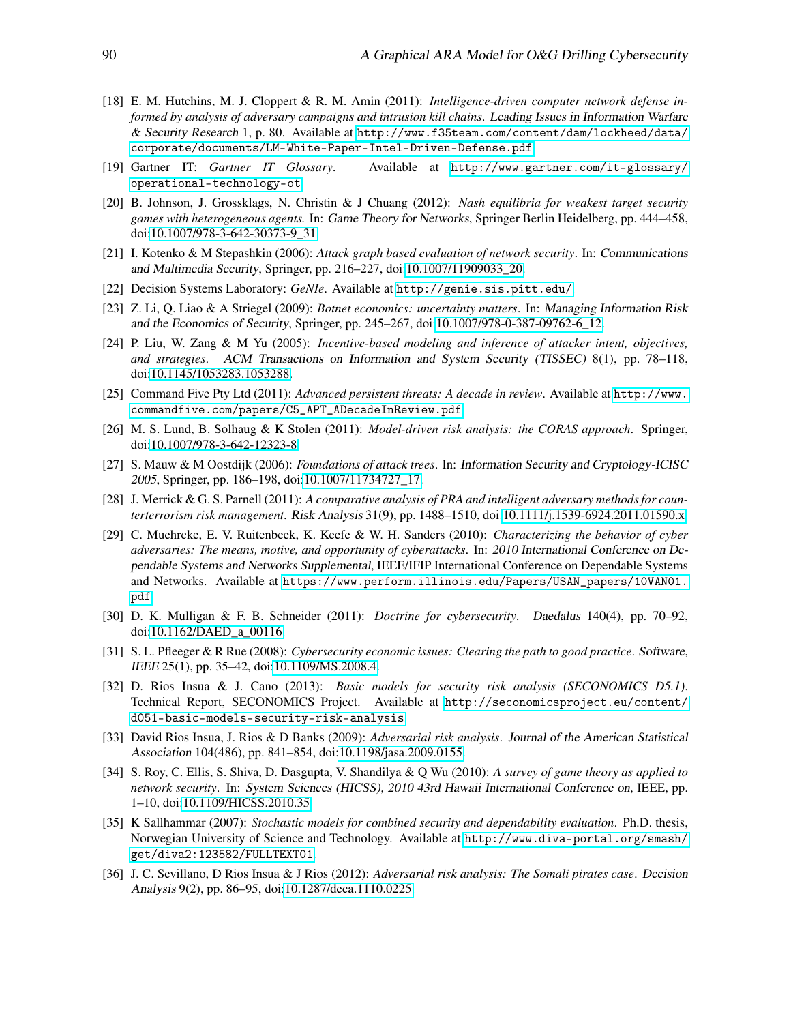- <span id="page-12-2"></span>[18] E. M. Hutchins, M. J. Cloppert & R. M. Amin (2011): *Intelligence-driven computer network defense informed by analysis of adversary campaigns and intrusion kill chains*. Leading Issues in Information Warfare & Security Research 1, p. 80. Available at [http://www.f35team.com/content/dam/lockheed/data/](http://www.f35team.com/content/dam/lockheed/data/corporate/documents/LM-White-Paper-Intel-Driven-Defense.pdf) [corporate/documents/LM-White-Paper-Intel-Driven-Defense.pdf](http://www.f35team.com/content/dam/lockheed/data/corporate/documents/LM-White-Paper-Intel-Driven-Defense.pdf).
- <span id="page-12-0"></span>[19] Gartner IT: *Gartner IT Glossary*. Available at [http://www.gartner.com/it-glossary/](http://www.gartner.com/it-glossary/operational-technology-ot) [operational-technology-ot](http://www.gartner.com/it-glossary/operational-technology-ot).
- <span id="page-12-12"></span>[20] B. Johnson, J. Grossklags, N. Christin & J Chuang (2012): *Nash equilibria for weakest target security games with heterogeneous agents.* In: Game Theory for Networks, Springer Berlin Heidelberg, pp. 444–458, doi[:10.1007/978-3-642-30373-9\\_31.](http://dx.doi.org/10.1007/978-3-642-30373-9_31)
- <span id="page-12-8"></span>[21] I. Kotenko & M Stepashkin (2006): *Attack graph based evaluation of network security*. In: Communications and Multimedia Security, Springer, pp. 216–227, doi[:10.1007/11909033\\_20.](http://dx.doi.org/10.1007/11909033_20)
- <span id="page-12-17"></span>[22] Decision Systems Laboratory: *GeNIe*. Available at <http://genie.sis.pitt.edu/>.
- <span id="page-12-5"></span>[23] Z. Li, Q. Liao & A Striegel (2009): *Botnet economics: uncertainty matters*. In: Managing Information Risk and the Economics of Security, Springer, pp. 245–267, doi[:10.1007/978-0-387-09762-6\\_12.](http://dx.doi.org/10.1007/978-0-387-09762-6_12)
- <span id="page-12-11"></span>[24] P. Liu, W. Zang & M Yu (2005): *Incentive-based modeling and inference of attacker intent, objectives, and strategies*. ACM Transactions on Information and System Security (TISSEC) 8(1), pp. 78–118, doi[:10.1145/1053283.1053288.](http://dx.doi.org/10.1145/1053283.1053288)
- <span id="page-12-4"></span>[25] Command Five Pty Ltd (2011): *Advanced persistent threats: A decade in review*. Available at [http://www.](http://www.commandfive.com/papers/C5_APT_ADecadeInReview.pdf) [commandfive.com/papers/C5\\_APT\\_ADecadeInReview.pdf](http://www.commandfive.com/papers/C5_APT_ADecadeInReview.pdf).
- <span id="page-12-10"></span>[26] M. S. Lund, B. Solhaug & K Stolen (2011): *Model-driven risk analysis: the CORAS approach*. Springer, doi[:10.1007/978-3-642-12323-8.](http://dx.doi.org/10.1007/978-3-642-12323-8)
- <span id="page-12-9"></span>[27] S. Mauw & M Oostdijk (2006): *Foundations of attack trees*. In: Information Security and Cryptology-ICISC 2005, Springer, pp. 186–198, doi[:10.1007/11734727\\_17.](http://dx.doi.org/10.1007/11734727_17)
- <span id="page-12-15"></span>[28] J. Merrick & G. S. Parnell (2011): *A comparative analysis of PRA and intelligent adversary methods for counterterrorism risk management*. Risk Analysis 31(9), pp. 1488–1510, doi[:10.1111/j.1539-6924.2011.01590.x.](http://dx.doi.org/10.1111/j.1539-6924.2011.01590.x)
- <span id="page-12-6"></span>[29] C. Muehrcke, E. V. Ruitenbeek, K. Keefe & W. H. Sanders (2010): *Characterizing the behavior of cyber adversaries: The means, motive, and opportunity of cyberattacks*. In: 2010 International Conference on Dependable Systems and Networks Supplemental, IEEE/IFIP International Conference on Dependable Systems and Networks. Available at [https://www.perform.illinois.edu/Papers/USAN\\_papers/10VAN01.](https://www.perform.illinois.edu/Papers/USAN_papers/10VAN01.pdf) [pdf](https://www.perform.illinois.edu/Papers/USAN_papers/10VAN01.pdf).
- <span id="page-12-3"></span>[30] D. K. Mulligan & F. B. Schneider (2011): *Doctrine for cybersecurity*. Daedalus 140(4), pp. 70–92, doi[:10.1162/DAED\\_a\\_00116.](http://dx.doi.org/10.1162/DAED_a_00116)
- <span id="page-12-1"></span>[31] S. L. Pfleeger & R Rue (2008): *Cybersecurity economic issues: Clearing the path to good practice*. Software, IEEE 25(1), pp. 35–42, doi[:10.1109/MS.2008.4.](http://dx.doi.org/10.1109/MS.2008.4)
- <span id="page-12-18"></span>[32] D. Rios Insua & J. Cano (2013): *Basic models for security risk analysis (SECONOMICS D5.1)*. Technical Report, SECONOMICS Project. Available at [http://seconomicsproject.eu/content/](http://seconomicsproject.eu/content/d051-basic-models-security-risk-analysis) [d051-basic-models-security-risk-analysis](http://seconomicsproject.eu/content/d051-basic-models-security-risk-analysis).
- <span id="page-12-14"></span>[33] David Rios Insua, J. Rios & D Banks (2009): *Adversarial risk analysis*. Journal of the American Statistical Association 104(486), pp. 841–854, doi[:10.1198/jasa.2009.0155.](http://dx.doi.org/10.1198/jasa.2009.0155)
- <span id="page-12-13"></span>[34] S. Roy, C. Ellis, S. Shiva, D. Dasgupta, V. Shandilya & Q Wu (2010): *A survey of game theory as applied to network security*. In: System Sciences (HICSS), 2010 43rd Hawaii International Conference on, IEEE, pp. 1–10, doi[:10.1109/HICSS.2010.35.](http://dx.doi.org/10.1109/HICSS.2010.35)
- <span id="page-12-7"></span>[35] K Sallhammar (2007): *Stochastic models for combined security and dependability evaluation*. Ph.D. thesis, Norwegian University of Science and Technology. Available at [http://www.diva-portal.org/smash/](http://www.diva-portal.org/smash/get/diva2:123582/FULLTEXT01) [get/diva2:123582/FULLTEXT01](http://www.diva-portal.org/smash/get/diva2:123582/FULLTEXT01).
- <span id="page-12-16"></span>[36] J. C. Sevillano, D Rios Insua & J Rios (2012): *Adversarial risk analysis: The Somali pirates case*. Decision Analysis 9(2), pp. 86–95, doi[:10.1287/deca.1110.0225.](http://dx.doi.org/10.1287/deca.1110.0225)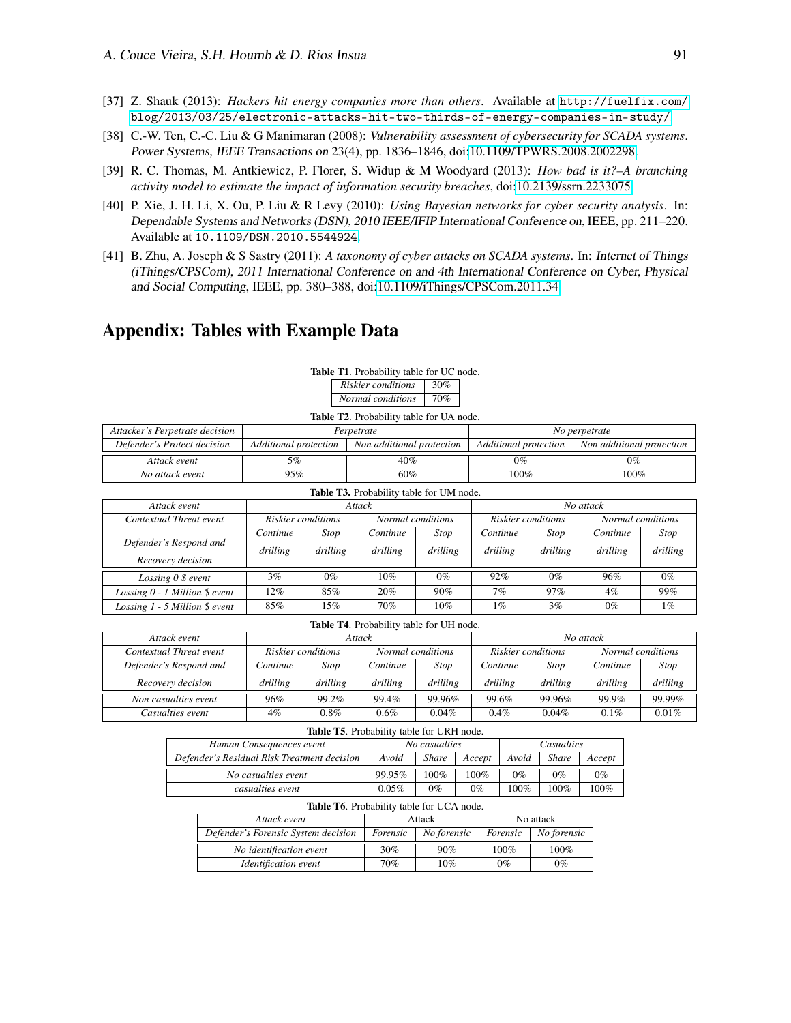- <span id="page-13-0"></span>[37] Z. Shauk (2013): *Hackers hit energy companies more than others*. Available at [http://fuelfix.com/](http://fuelfix.com/blog/2013/03/25/electronic-attacks-hit-two-thirds-of-energy-companies-in-study/) [blog/2013/03/25/electronic-attacks-hit-two-thirds-of-energy-companies-in-study/](http://fuelfix.com/blog/2013/03/25/electronic-attacks-hit-two-thirds-of-energy-companies-in-study/).
- <span id="page-13-2"></span>[38] C.-W. Ten, C.-C. Liu & G Manimaran (2008): *Vulnerability assessment of cybersecurity for SCADA systems*. Power Systems, IEEE Transactions on 23(4), pp. 1836–1846, doi[:10.1109/TPWRS.2008.2002298.](http://dx.doi.org/10.1109/TPWRS.2008.2002298)
- <span id="page-13-3"></span>[39] R. C. Thomas, M. Antkiewicz, P. Florer, S. Widup & M Woodyard (2013): *How bad is it?–A branching activity model to estimate the impact of information security breaches*, doi[:10.2139/ssrn.2233075.](http://dx.doi.org/10.2139/ssrn.2233075)
- <span id="page-13-4"></span>[40] P. Xie, J. H. Li, X. Ou, P. Liu & R Levy (2010): *Using Bayesian networks for cyber security analysis*. In: Dependable Systems and Networks (DSN), 2010 IEEE/IFIP International Conference on, IEEE, pp. 211–220. Available at <10.1109/DSN.2010.5544924>.
- <span id="page-13-1"></span>[41] B. Zhu, A. Joseph & S Sastry (2011): *A taxonomy of cyber attacks on SCADA systems*. In: Internet of Things (iThings/CPSCom), 2011 International Conference on and 4th International Conference on Cyber, Physical and Social Computing, IEEE, pp. 380–388, doi[:10.1109/iThings/CPSCom.2011.34.](http://dx.doi.org/10.1109/iThings/CPSCom.2011.34)

# Appendix: Tables with Example Data

| Table T1. Probability table for UC node. |                           |             |                                                 |             |                       |          |                           |             |
|------------------------------------------|---------------------------|-------------|-------------------------------------------------|-------------|-----------------------|----------|---------------------------|-------------|
|                                          |                           |             | Riskier conditions                              | 30%         |                       |          |                           |             |
|                                          |                           |             | Normal conditions                               | 70%         |                       |          |                           |             |
|                                          |                           |             | <b>Table T2.</b> Probability table for UA node. |             |                       |          |                           |             |
| Attacker's Perpetrate decision           |                           | Perpetrate  |                                                 |             |                       |          | No perpetrate             |             |
| Defender's Protect decision              | Additional protection     |             | Non additional protection                       |             | Additional protection |          | Non additional protection |             |
| Attack event                             | 5%                        |             | 40%                                             |             | $0\%$                 |          | $0\%$                     |             |
| No attack event                          | 95%                       |             | 60%                                             |             | 100%                  |          | 100%                      |             |
|                                          |                           |             | Table T3. Probability table for UM node.        |             |                       |          |                           |             |
| Attack event                             |                           |             | Attack                                          |             |                       |          | No attack                 |             |
| Contextual Threat event                  | <b>Riskier</b> conditions |             | Normal conditions                               |             | Riskier conditions    |          | Normal conditions         |             |
|                                          | Continue                  | <b>Stop</b> | Continue                                        | <b>Stop</b> | Continue              | Stop     | Continue                  | <b>Stop</b> |
| Defender's Respond and                   | drilling                  | drilling    | drilling                                        | drilling    | drilling              | drilling | drilling                  | drilling    |
| Recovery decision                        |                           |             |                                                 |             |                       |          |                           |             |
| Lossing $0$ \$ event                     | 3%                        | $0\%$       | 10%                                             | $0\%$       | 92%                   | $0\%$    | 96%                       | $0\%$       |
| Lossing $0 - 1$ Million \$ event         | 12%                       | 85%         | 20%                                             | 90%         | 7%                    | 97%      | 4%                        | 99%         |
| Lossing $1 - 5$ Million \$ event         | 85%                       | 15%         | 70%                                             | 10%         | $1\%$                 | 3%       | $0\%$                     | $1\%$       |
|                                          |                           |             | Table T4. Probability table for UH node.        |             |                       |          |                           |             |
| Attack event                             |                           |             | Attack                                          |             |                       |          | No attack                 |             |
| Contextual Threat event                  | Riskier conditions        |             | Normal conditions                               |             | Riskier conditions    |          | Normal conditions         |             |
| Defender's Respond and                   | Continue                  | <b>Stop</b> | Continue                                        | Stop        | Continue              | Stop     | Continue                  | Stop        |
| Recovery decision                        | drilling                  | drilling    | drilling                                        | drilling    | drilling              | drilling | drilling                  | drilling    |
| Non casualties event                     | 96%                       | 99.2%       | 99.4%                                           | 99.96%      | 99.6%                 | 99.96%   | 99.9%                     | 99.99%      |
| Casualties event                         | 4%                        | 0.8%        | 0.6%                                            | 0.04%       | 0.4%                  | 0.04%    | 0.1%                      | 0.01%       |

| Table T5. Probability table for URH node. |  |  |  |  |
|-------------------------------------------|--|--|--|--|
|-------------------------------------------|--|--|--|--|

| Human Consequences event                    |        | No casualties |        |       | Casualties |        |
|---------------------------------------------|--------|---------------|--------|-------|------------|--------|
| Defender's Residual Risk Treatment decision | Avoid  | Share         | Accept | Avoid | Share      | Accept |
| No casualties event                         | 99.95% | 100%          | 100%   | 0%    | 0%         | $0\%$  |
| casualties event                            | 0.05%  | 0%            | $0\%$  | 100%  | 100%       | 100%   |

| Table T6. Probability table for UCA node. |          |             |          |             |  |  |  |  |
|-------------------------------------------|----------|-------------|----------|-------------|--|--|--|--|
| Attack event                              |          | Attack      |          | No attack   |  |  |  |  |
| Defender's Forensic System decision       | Forensic | No forensic | Forensic | No forensic |  |  |  |  |
| No identification event                   | 30%      | 90%         | $100\%$  | 100%        |  |  |  |  |
| Identification event                      | 70%      | 10%         | $0\%$    | $0\%$       |  |  |  |  |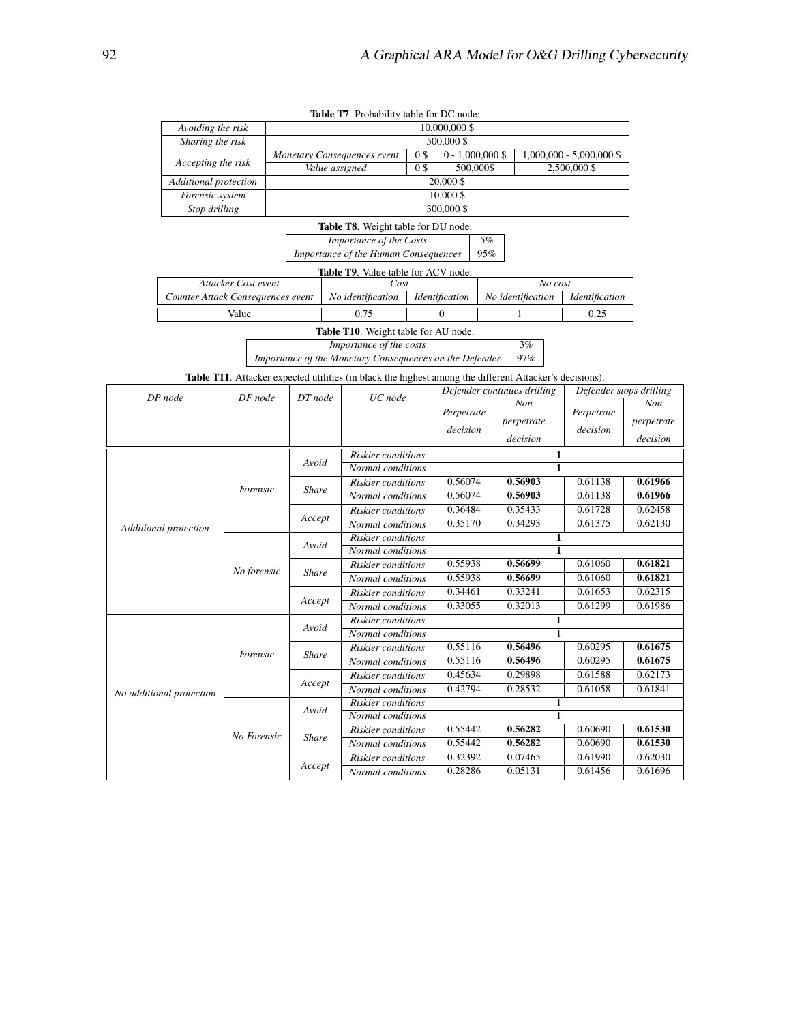| Avoiding the risk     | 10,000,000 \$               |                |                    |                            |  |  |  |
|-----------------------|-----------------------------|----------------|--------------------|----------------------------|--|--|--|
| Sharing the risk      | 500,000 \$                  |                |                    |                            |  |  |  |
|                       | Monetary Consequences event |                | $0 - 1,000,000$ \$ | $1,000,000 - 5,000,000$ \$ |  |  |  |
| Accepting the risk    | Value assigned              | 0 <sup>s</sup> | 500,000\$          | 2.500,000 \$               |  |  |  |
| Additional protection |                             | 20,000 \$      |                    |                            |  |  |  |
| Forensic system       | $10,000$ \$                 |                |                    |                            |  |  |  |
| Stop drilling         |                             |                | 300,000 \$         |                            |  |  |  |

| Table T7. Probability table for DC node: |  |
|------------------------------------------|--|
|------------------------------------------|--|

#### Table T8. Weight table for DU node.

| Importance of the Costs                  | 5% |
|------------------------------------------|----|
| Importance of the Human Consequences 95% |    |

| <b>Table T9.</b> Value table for ACV node: |                   |                |                   |                       |  |  |  |  |
|--------------------------------------------|-------------------|----------------|-------------------|-----------------------|--|--|--|--|
| Attacker Cost event<br>No cost<br>Cost     |                   |                |                   |                       |  |  |  |  |
| Counter Attack Consequences event          | No identification | Identification | No identification | <i>Identification</i> |  |  |  |  |
| Value                                      | 0.75              |                |                   | 0.25                  |  |  |  |  |

#### Table T10. Weight table for AU node.

*Importance of the costs* 3%

|  |  | Importance of the Monetary Consequences on the Defender   97% |  |
|--|--|---------------------------------------------------------------|--|
|  |  |                                                               |  |

Table T11. Attacker expected utilities (in black the highest among the different Attacker's decisions).

| DP node                  | DF node     | DT node      | $UC$ node                 |                        | Defender continues drilling   |                        | Defender stops drilling       |  |  |
|--------------------------|-------------|--------------|---------------------------|------------------------|-------------------------------|------------------------|-------------------------------|--|--|
|                          |             |              |                           | Perpetrate<br>decision | Non<br>perpetrate<br>decision | Perpetrate<br>decision | Non<br>perpetrate<br>decision |  |  |
|                          |             |              | Riskier conditions        |                        | 1                             |                        |                               |  |  |
|                          |             | Avoid        | Normal conditions         |                        | 1                             |                        |                               |  |  |
|                          |             |              | <b>Riskier</b> conditions | 0.56074                | 0.56903                       | 0.61138                | 0.61966                       |  |  |
|                          | Forensic    | <b>Share</b> | Normal conditions         | 0.56074                | 0.56903                       | 0.61138                | 0.61966                       |  |  |
|                          |             |              | <b>Riskier</b> conditions | 0.36484                | 0.35433                       | 0.61728                | 0.62458                       |  |  |
|                          |             | Accept       | Normal conditions         | 0.35170                | 0.34293                       | 0.61375                | 0.62130                       |  |  |
| Additional protection    |             |              | <b>Riskier</b> conditions |                        | 1                             |                        |                               |  |  |
|                          |             | Avoid        | Normal conditions         |                        | 1                             |                        |                               |  |  |
|                          | No forensic |              | Riskier conditions        | 0.55938                | 0.56699                       | 0.61060                | 0.61821                       |  |  |
|                          |             | <b>Share</b> | Normal conditions         | 0.55938                | 0.56699                       | 0.61060                | 0.61821                       |  |  |
|                          |             | Accept       | Riskier conditions        | 0.34461                | 0.33241                       | 0.61653                | 0.62315                       |  |  |
|                          |             |              | Normal conditions         | 0.33055                | 0.32013                       | 0.61299                | 0.61986                       |  |  |
|                          |             |              | <b>Riskier</b> conditions |                        |                               |                        |                               |  |  |
|                          |             | Avoid        | Normal conditions         |                        |                               |                        |                               |  |  |
|                          |             | <b>Share</b> | Riskier conditions        | 0.55116                | 0.56496                       | 0.60295                | 0.61675                       |  |  |
|                          | Forensic    |              | Normal conditions         | 0.55116                | 0.56496                       | 0.60295                | 0.61675                       |  |  |
|                          |             |              | <b>Riskier</b> conditions | 0.45634                | 0.29898                       | 0.61588                | 0.62173                       |  |  |
|                          |             | Accept       | Normal conditions         | 0.42794                | 0.28532                       | 0.61058                | 0.61841                       |  |  |
| No additional protection |             |              | <b>Riskier</b> conditions |                        |                               |                        |                               |  |  |
|                          |             | Avoid        | Normal conditions         |                        | 1                             |                        |                               |  |  |
|                          |             |              | <b>Riskier</b> conditions | 0.55442                | 0.56282                       | 0.60690                | 0.61530                       |  |  |
|                          | No Forensic | <b>Share</b> | Normal conditions         | 0.55442                | 0.56282                       | 0.60690                | 0.61530                       |  |  |
|                          |             |              | <b>Riskier</b> conditions | 0.32392                | 0.07465                       | 0.61990                | 0.62030                       |  |  |
|                          |             | Accept       | Normal conditions         | 0.28286                | 0.05131                       | 0.61456                | 0.61696                       |  |  |
|                          |             |              |                           |                        |                               |                        |                               |  |  |